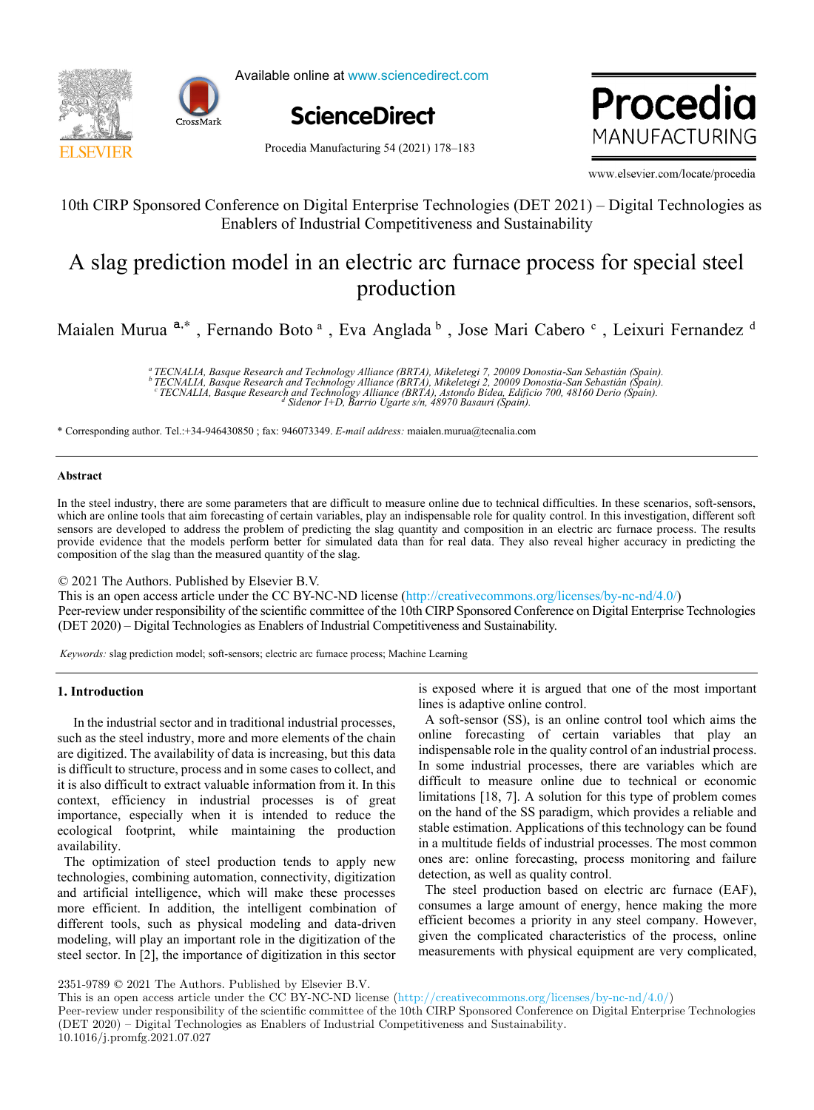



Available online at www.sciencedirect.com



 www.elsevier.com/locate/procedia www.elsevier.com/locate/procedia WANILICACTUOING www.elsevier.com/locate/procedia

Procedia Manufacturing 54 (2021) 178–183

10th CIRP Sponsored Conference on Digital Enterprise Technologies (DET 2021) – Digital Technologies as

# 10th CIRP Sponsored Conference on Digital Enterprise Technologies (DET 2021) – Digital Technologies as<br>Enablers of Industrial Competitiveness and Sustainability  $\mathcal{A}$  slag prediction model in an electric arc furnace process for special steelers for special steelers for special steelers for special steelers for special steelers for special steelers for special steelers for spec  $A = \frac{1}{2}$  slag prediction model in an electric arc function  $\frac{1}{2}$ Enablers of Industrial Competitiveness and Sustainability

# lectric arc f  $\mathbf{F}$ A slag prediction model in an electric arc function  $\alpha$  such special steels for special steel A slag prediction model in an electric arc furnace process for special steel<br>production , Fernando Boto a , Eva Anglada b ,  $\mathbb{E}[\mathbf{E}(\mathbf{z})]$ production

, Fernando Boto a , Leixuri Fernandez de La Brazilia estado en 1980.<br>Estado estado Boto a , Leixuri Fernandez de La Brazilia estado en 1980. Maialen Murua <sup>a,∗</sup>, Fernando Boto ª, Eva Anglada <sup>b</sup>, Jose Mari Cabero <sup>c</sup>, Leixuri Fernandez <sup>d</sup>

> e<br>TECNALIA, Basque Research and Technology Alliance (BRTA), Mikeletegi 7, 20009 Donostia-San Sebastián (Spain).<br>b TECNALIA, Basque Research and Technology Alliance (BRTA), Mikeletegi 2, 20009 Donostia-San Sebastián (Spain) "IECNALIA, Basque Research and Technology Alliance (BRIA), Mikeletegi 2, 20009 Donostia-San Sebastian (Spain).<br>CTECNALIA, Basque Research and Technology Alliance (BRIA), Astondo Bidea, Edificio 700, 48160 Derio (Spain).<br>CT *c d* Sidenor I+D, Barrio Ugarte s/n, 48970 Basauri (Spain). derived by a *difficio 700, Basauri (Spain).* derived by a *difficio 700, Basauri (Spain).* <sup>a</sup> TECNALIA, Basque Research and Technology Alliance (BRTA), Mikeletegi 7, 20009 Donostia-San Sebastián (Spain).<br><sup>b</sup> TECNALIA, Basque Research and Technology Alliance (BRTA), Mikeletegi 2, 20009 Donostia-San Sebastián (Sp *<sup>a</sup> TECNALIA, Basque Research and Technology Alliance (BRTA), Mikeletegi 7, 20009 Donostia-San Sebastián (Spain).*

\* Corresponding author. Tel.:+34-946430850; fax: 946073349. E-mail address: maialen.murua@tecnalia.com

#### **Abstract Abstract Abstract**

In the steel industry, there are some parameters that are difficult to measure online due to technical difficulties. In these scenarios, soft-sensors, **Abstract**  In the steel industry, there are some parameters that are difficult to measure online due to technical difficulties. In these scenarios, soft-sensors,<br>which are online tools that aim forecasting of certain variables, play sensors are developed to address the problem of predicting the slag quantity and composition in an electric arc furnace process. The results provide evidence that the models perform better for simulated data than for real data. They also reveal higher accuracy in predicting the composition of the slag than the measured quantity of the slag. provide evidence that the models perform better for simulated data than for real data. They also reveal higher accuracy in predicting the composition of the slag than the measured quantity of the slag provide evidence that the models perform better for simulated data than for real data. They also reveal higher accuracy in predicting the

© 2021 The Authors. Published by Elsevier B.V.

This is an open access article under the CC BY-NC-ND license (http://creativecommons.org/licenses/by-nc-nd/4.0/) Peer-review under responsibility of the scientific committee of the 10th CIRP Sponsored Conference on Digital Enterprise Technologies (DET 2020) – Digital Technologies as Enablers of Industrial Competitiveness and Sustainability. Peer-review under responsibility of the scientific committee of the 10th CIRP Sponsored Conference on Digital Enterprise Technologies (DET-2020) – Digital Technologies as Enablers of muusulat Competitiveness and Sustainability.

Keywords: slag prediction model; soft-sensors; electric arc furnace process; Machine Learning *Keywords:* slag prediction model; soft-sensors; electric arc furnace process; Machine Learning

# **1. Introduction 1. Introduction 1. Introduction 1. Introduction**

In the industrial sector and in traditional industrial processes, In the industrial sector and in traditional industrial processes, In the industrial sector and in traditional industrial processes, **1. Introduction** such as the steel industry, more and more elements of the chain are digitized. The availability of data is increasing, but this data<br>is difficult to structure, process and in some cases to collect, and are digitized. The availability of data is increasing, but this data is difficult to structure, process and in some cases to collect, and in structure,  $\frac{1}{n}$  this is olded. is unificult to structure, process and in some cases to collect, and it is also difficult to extract valuable information from it. In this context, efficiency in industrial processes is of great context, efficiency in industrial processes is of great context, efficiency in industrial processes is of great importance, especially when it is intended to reduce the ecological footprint, while maintaining the production availability. availability. it is also difficult to extract valuable information from it. In this importance, especially when it is intended to reduce the is difficult to structure, process and in some cases to collect, and<br>is difficult to structure, process and in some cases to collect, and<br>it is also difficult to extract valuable information from it. In this<br>context, effic

availability.<br>The optimization of steel production tends to apply new The optimization of steel production tends to apply new technologies, combining automation, connectivity, digitization ecomologies, combining automation, connectivity, digitization and artificial intelligence, which will make these processes more efficient. In addition, the intelligent combination of different tools, such as physical modeling and data-driven modeling, will play an important role in the digitization of the modeling, will play an important role in the digitization of the modeling, will play an important role in the digitization of the steel sector. In [2], the importance of digitization in this sector and artificial intelligence, which will make these processes<br>more efficient. In addition, the intelligent combination of<br>different tools, such as physical modeling and data-driven<br>modeling, will play an important role in  $\frac{1}{2}$  steel sector. In [2], the importance of digitization in this sector  $\frac{1}{2}$  and  $\frac{1}{2}$  and  $\frac{1}{2}$  and  $\frac{1}{2}$  and  $\frac{1}{2}$  and  $\frac{1}{2}$  and  $\frac{1}{2}$  and  $\frac{1}{2}$  and  $\frac{1}{2}$  and  $\frac{1}{2}$  and  $\frac$ more efficient. In addition, the intelligent combination of  $s_{\text{c}}$  sector. In [2], the importance of digitization in this sector

is exposed where it is argued that one of the most important<br>lines is educative online control. lines is adaptive online control.

A soft-sensor (SS), is an online control tool which aims the A son-sensor (35), is an online control tool which all the online forecasting of certain variables that play an online forceasing of certain variables that play an indispensable role in the quality control of an industrial process. Indispensable fore in the quanty control of an industrial process.<br>In some industrial processes, there are variables which are<br>difficult to measure online due to technical or economic difficult to measure online due to technical or economic difficult to measure online due to technical or economic limitations [18, 7]. A solution for this type of problem comes on the hand of the SS paradigm, which provides a reliable and<br>stable estimation. Applications of this technology can be found stable estimation. Applications of this technology can be found<br>stable estimation. Applications of this technology can be found in a multitude fields of industrial processes. The most common<br>ones are: online forecasting, process monitoring and failure ones are: online forecasting, processes. The most common<br>ones are: online forecasting, process monitoring and failure detection, as well as quality control. detection, as well as quality control.  $\mu$  and  $\mu$  and  $\mu$  and  $\mu$  and  $\mu$  and  $\mu$  and  $\mu$  and  $\mu$  and  $\mu$  and  $\mu$  and  $\mu$  and  $\mu$  and  $\mu$  and  $\mu$  and  $\mu$  and  $\mu$  and  $\mu$  and  $\mu$  and  $\mu$  and  $\mu$  and  $\mu$  and  $\mu$  and  $\mu$  and  $\mu$  and  $\mu$  10th CRP Sponsored Conference on Digital Europyis: Technologies (DFT 2021) – Digital Technologies as<br>
Enables of Industrial Competitiveness and Sustainability<br>  $\Lambda$  Slag prediction model in an electric are furned by consi 10th CRP Sponsored Conference on Digital Enterprise Technologies (DET 2021) - Digital Technologies as<br>
Entailles of Industrial Competitiveness and Sustainabilty<br>
A slag prediction model in an electric are furnace process difficult to measure omine due to technical or economic<br>limitations [19] A solution for this time of problem comes

The steel production based on electric arc furnace (EAF), The steel production based on electric arc fundace  $(EH)$ ,<br>consumes a large amount of energy, hence making the more edicion becomes a priority in any steel company. However, given the complicated characteristics of the process, online given the complicated characteristics of the process, online measurements with physical equipment are very complicated, measurements with physical equipment are very complicated, measurements with physical equipment are very complicated, given the complicated characteristics of the process, online measurements with physical equipment are very complicated, given the complicated characteristics of the process, official measurements with physical equipment are very complicated,

2351-9789 © 2021 The Authors. Published by Elsevier B.V.

 $2531-9769 \approx 2021$  The Authors. Published by Elsevier B.V.<br>This is an open access article under the CC BY-NC-ND license (http://creativecommons.org/licenses/by-nc-nd/4.0/)

Peer-review under responsibility of the scientific committee of the 10th CIRP Sponsored Conference on Digital Enterprise Technologies (DET 2020) – Digital Technologies as Enablers of Industrial Competitiveness and Sustainability.  $10.1016/j$ .promfg.2021.07.027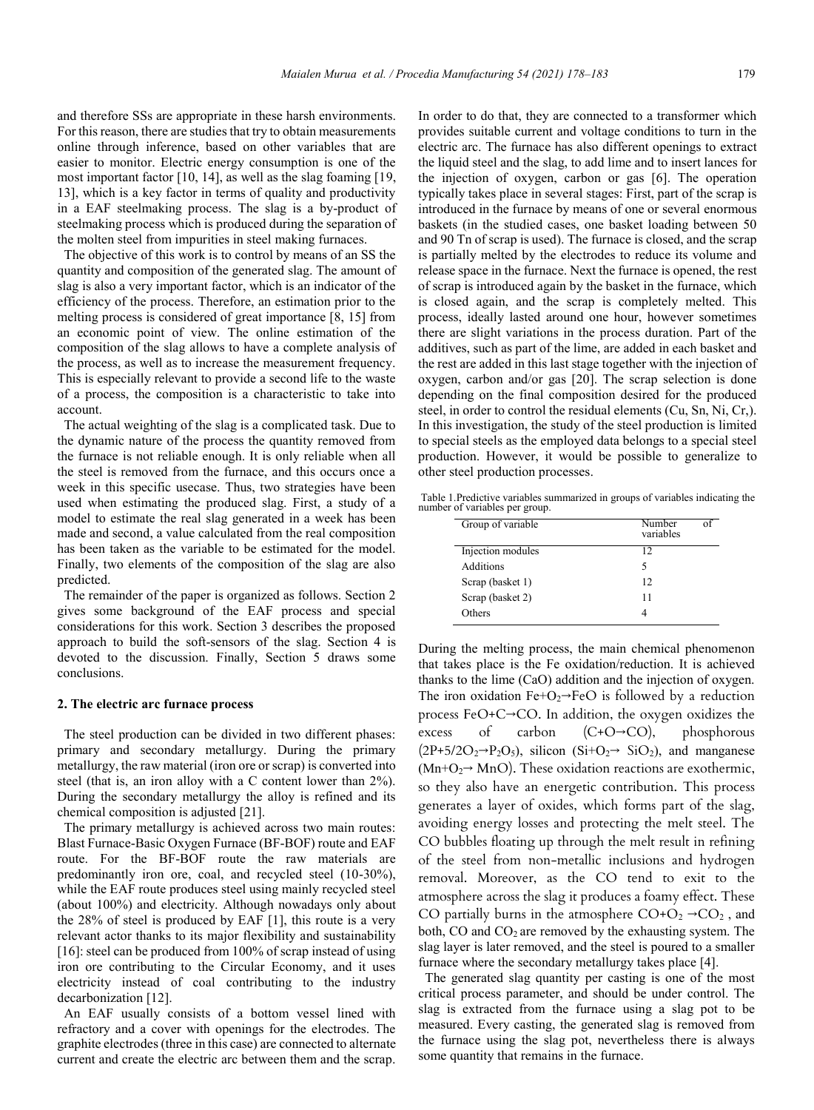and therefore SSs are appropriate in these harsh environments. For this reason, there are studies that try to obtain measurements online through inference, based on other variables that are easier to monitor. Electric energy consumption is one of the most important factor [10, 14], as well as the slag foaming [19, 13], which is a key factor in terms of quality and productivity in a EAF steelmaking process. The slag is a by-product of steelmaking process which is produced during the separation of the molten steel from impurities in steel making furnaces.

 The objective of this work is to control by means of an SS the quantity and composition of the generated slag. The amount of slag is also a very important factor, which is an indicator of the efficiency of the process. Therefore, an estimation prior to the melting process is considered of great importance [8, 15] from an economic point of view. The online estimation of the composition of the slag allows to have a complete analysis of the process, as well as to increase the measurement frequency. This is especially relevant to provide a second life to the waste of a process, the composition is a characteristic to take into account.

 The actual weighting of the slag is a complicated task. Due to the dynamic nature of the process the quantity removed from the furnace is not reliable enough. It is only reliable when all the steel is removed from the furnace, and this occurs once a week in this specific usecase. Thus, two strategies have been used when estimating the produced slag. First, a study of a model to estimate the real slag generated in a week has been made and second, a value calculated from the real composition has been taken as the variable to be estimated for the model. Finally, two elements of the composition of the slag are also predicted.

 The remainder of the paper is organized as follows. Section 2 gives some background of the EAF process and special considerations for this work. Section 3 describes the proposed approach to build the soft-sensors of the slag. Section 4 is devoted to the discussion. Finally, Section 5 draws some conclusions.

#### **2. The electric arc furnace process**

 The steel production can be divided in two different phases: primary and secondary metallurgy. During the primary metallurgy, the raw material (iron ore or scrap) is converted into steel (that is, an iron alloy with a C content lower than 2%). During the secondary metallurgy the alloy is refined and its chemical composition is adjusted [21].

 The primary metallurgy is achieved across two main routes: Blast Furnace-Basic Oxygen Furnace (BF-BOF) route and EAF route. For the BF-BOF route the raw materials are predominantly iron ore, coal, and recycled steel (10-30%), while the EAF route produces steel using mainly recycled steel (about 100%) and electricity. Although nowadays only about the 28% of steel is produced by EAF [1], this route is a very relevant actor thanks to its major flexibility and sustainability [16]: steel can be produced from 100% of scrap instead of using iron ore contributing to the Circular Economy, and it uses electricity instead of coal contributing to the industry decarbonization [12].

 An EAF usually consists of a bottom vessel lined with refractory and a cover with openings for the electrodes. The graphite electrodes (three in this case) are connected to alternate current and create the electric arc between them and the scrap.

In order to do that, they are connected to a transformer which provides suitable current and voltage conditions to turn in the electric arc. The furnace has also different openings to extract the liquid steel and the slag, to add lime and to insert lances for the injection of oxygen, carbon or gas [6]. The operation typically takes place in several stages: First, part of the scrap is introduced in the furnace by means of one or several enormous baskets (in the studied cases, one basket loading between 50 and 90 Tn of scrap is used). The furnace is closed, and the scrap is partially melted by the electrodes to reduce its volume and release space in the furnace. Next the furnace is opened, the rest of scrap is introduced again by the basket in the furnace, which is closed again, and the scrap is completely melted. This process, ideally lasted around one hour, however sometimes there are slight variations in the process duration. Part of the additives, such as part of the lime, are added in each basket and the rest are added in this last stage together with the injection of oxygen, carbon and/or gas [20]. The scrap selection is done depending on the final composition desired for the produced steel, in order to control the residual elements (Cu, Sn, Ni, Cr,). In this investigation, the study of the steel production is limited to special steels as the employed data belongs to a special steel production. However, it would be possible to generalize to other steel production processes.

Table 1.Predictive variables summarized in groups of variables indicating the number of variables per group.

| Group of variable | Number<br>variables |  |
|-------------------|---------------------|--|
| Injection modules | 12                  |  |
| Additions         | 5                   |  |
| Scrap (basket 1)  | 12                  |  |
| Scrap (basket 2)  | 11                  |  |
| Others            |                     |  |

During the melting process, the main chemical phenomenon that takes place is the Fe oxidation/reduction. It is achieved thanks to the lime (CaO) addition and the injection of oxygen. The iron oxidation  $Fe+O<sub>2</sub>\rightarrow FeO$  is followed by a reduction process FeO+C→CO. In addition, the oxygen oxidizes the excess of carbon  $(C+O\rightarrow CO)$ , phosphorous  $(2P+5/2O_2\rightarrow P_2O_5)$ , silicon  $(Si+O_2\rightarrow SiO_2)$ , and manganese  $(Mn+O<sub>2</sub> \rightarrow MnO)$ . These oxidation reactions are exothermic, so they also have an energetic contribution. This process generates a layer of oxides, which forms part of the slag, avoiding energy losses and protecting the melt steel. The CO bubbles floating up through the melt result in refining of the steel from non-metallic inclusions and hydrogen removal. Moreover, as the CO tend to exit to the atmosphere across the slag it produces a foamy effect. These CO partially burns in the atmosphere  $CO + O_2 \rightarrow CO_2$ , and both,  $CO$  and  $CO<sub>2</sub>$  are removed by the exhausting system. The slag layer is later removed, and the steel is poured to a smaller furnace where the secondary metallurgy takes place [4].

 The generated slag quantity per casting is one of the most critical process parameter, and should be under control. The slag is extracted from the furnace using a slag pot to be measured. Every casting, the generated slag is removed from the furnace using the slag pot, nevertheless there is always some quantity that remains in the furnace.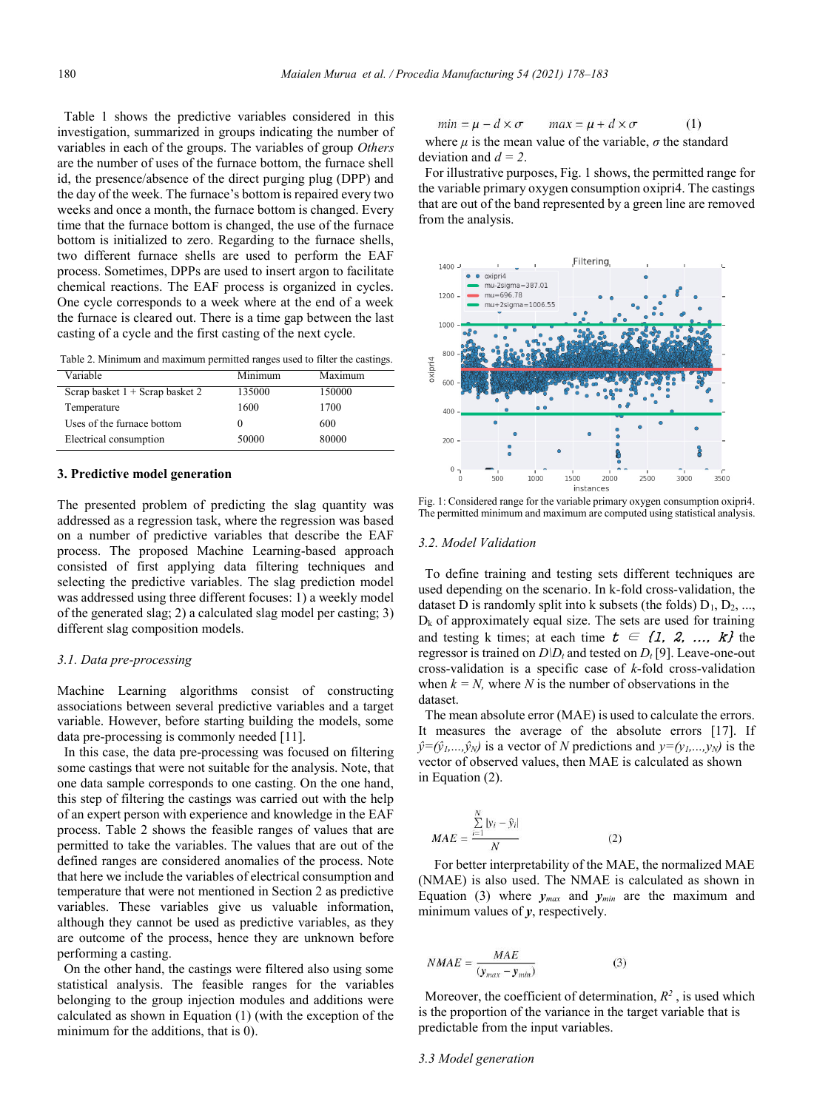Table 1 shows the predictive variables considered in this investigation, summarized in groups indicating the number of variables in each of the groups. The variables of group *Others*  are the number of uses of the furnace bottom, the furnace shell id, the presence/absence of the direct purging plug (DPP) and the day of the week. The furnace's bottom is repaired every two weeks and once a month, the furnace bottom is changed. Every time that the furnace bottom is changed, the use of the furnace bottom is initialized to zero. Regarding to the furnace shells, two different furnace shells are used to perform the EAF process. Sometimes, DPPs are used to insert argon to facilitate chemical reactions. The EAF process is organized in cycles. One cycle corresponds to a week where at the end of a week the furnace is cleared out. There is a time gap between the last casting of a cycle and the first casting of the next cycle.

Table 2. Minimum and maximum permitted ranges used to filter the castings.

| Variable                        | Minimum | Maximum |
|---------------------------------|---------|---------|
| Scrap basket 1 + Scrap basket 2 | 135000  | 150000  |
| Temperature                     | 1600    | 1700    |
| Uses of the furnace bottom      |         | 600     |
| Electrical consumption          | 50000   | 80000   |

# **3. Predictive model generation**

The presented problem of predicting the slag quantity was addressed as a regression task, where the regression was based on a number of predictive variables that describe the EAF process. The proposed Machine Learning-based approach consisted of first applying data filtering techniques and selecting the predictive variables. The slag prediction model was addressed using three different focuses: 1) a weekly model of the generated slag; 2) a calculated slag model per casting; 3) different slag composition models.

### *3.1. Data pre-processing*

Machine Learning algorithms consist of constructing associations between several predictive variables and a target variable. However, before starting building the models, some data pre-processing is commonly needed [11].

 In this case, the data pre-processing was focused on filtering some castings that were not suitable for the analysis. Note, that one data sample corresponds to one casting. On the one hand, this step of filtering the castings was carried out with the help of an expert person with experience and knowledge in the EAF process. Table 2 shows the feasible ranges of values that are permitted to take the variables. The values that are out of the defined ranges are considered anomalies of the process. Note that here we include the variables of electrical consumption and temperature that were not mentioned in Section 2 as predictive variables. These variables give us valuable information, although they cannot be used as predictive variables, as they are outcome of the process, hence they are unknown before performing a casting.

 On the other hand, the castings were filtered also using some statistical analysis. The feasible ranges for the variables belonging to the group injection modules and additions were calculated as shown in Equation (1) (with the exception of the minimum for the additions, that is 0).

$$
min = \mu - d \times \sigma \qquad max = \mu + d \times \sigma \tag{1}
$$

where  $\mu$  is the mean value of the variable,  $\sigma$  the standard deviation and  $d = 2$ .

 For illustrative purposes, Fig. 1 shows, the permitted range for the variable primary oxygen consumption oxipri4. The castings that are out of the band represented by a green line are removed from the analysis.



Fig. 1: Considered range for the variable primary oxygen consumption oxipri4. The permitted minimum and maximum are computed using statistical analysis.

#### *3.2. Model Validation*

 To define training and testing sets different techniques are used depending on the scenario. In k-fold cross-validation, the dataset D is randomly split into k subsets (the folds)  $D_1, D_2, \ldots$  $D_k$  of approximately equal size. The sets are used for training and testing k times; at each time  $t \in \{1, 2, ..., k\}$  the regressor is trained on  $D/D_t$  and tested on  $D_t$  [9]. Leave-one-out cross-validation is a specific case of *k*-fold cross-validation when  $k = N$ , where *N* is the number of observations in the dataset.

 The mean absolute error (MAE) is used to calculate the errors. It measures the average of the absolute errors [17]. If  $\hat{y}=(\hat{y}_1,...,\hat{y}_N)$  is a vector of *N* predictions and  $y=(y_1,...,y_N)$  is the vector of observed values, then MAE is calculated as shown in Equation (2).

$$
MAE = \frac{\sum_{i=1}^{N} |y_i - \hat{y}_i|}{N}
$$
 (2)

For better interpretability of the MAE, the normalized MAE (NMAE) is also used. The NMAE is calculated as shown in Equation (3) where  $y_{max}$  and  $y_{min}$  are the maximum and minimum values of *y*, respectively.

$$
NMAE = \frac{MAE}{(\mathbf{y}_{max} - \mathbf{y}_{min})}
$$
 (3)

Moreover, the coefficient of determination,  $R^2$ , is used which is the proportion of the variance in the target variable that is predictable from the input variables.

#### *3.3 Model generation*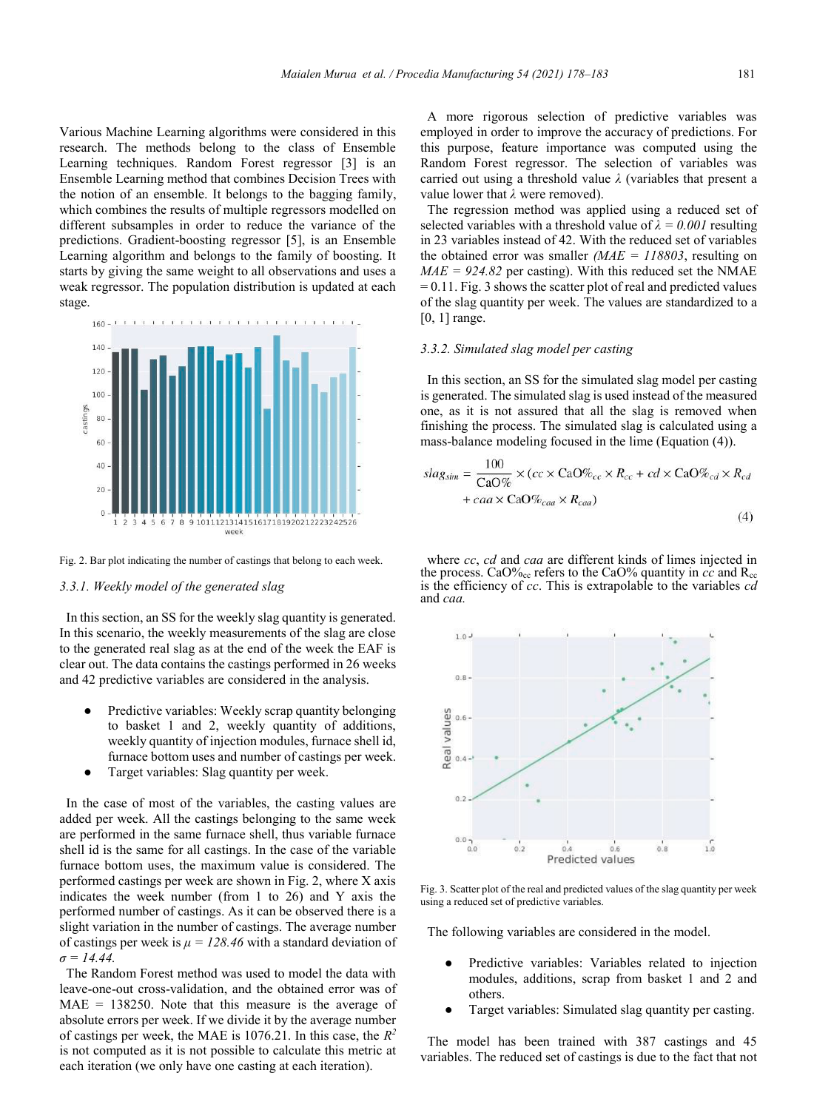Various Machine Learning algorithms were considered in this research. The methods belong to the class of Ensemble Learning techniques. Random Forest regressor [3] is an Ensemble Learning method that combines Decision Trees with the notion of an ensemble. It belongs to the bagging family, which combines the results of multiple regressors modelled on different subsamples in order to reduce the variance of the predictions. Gradient-boosting regressor [5], is an Ensemble Learning algorithm and belongs to the family of boosting. It starts by giving the same weight to all observations and uses a weak regressor. The population distribution is updated at each stage.



Fig. 2. Bar plot indicating the number of castings that belong to each week.

#### *3.3.1. Weekly model of the generated slag*

 In this section, an SS for the weekly slag quantity is generated. In this scenario, the weekly measurements of the slag are close to the generated real slag as at the end of the week the EAF is clear out. The data contains the castings performed in 26 weeks and 42 predictive variables are considered in the analysis.

- Predictive variables: Weekly scrap quantity belonging to basket 1 and 2, weekly quantity of additions, weekly quantity of injection modules, furnace shell id, furnace bottom uses and number of castings per week.
- Target variables: Slag quantity per week.

 In the case of most of the variables, the casting values are added per week. All the castings belonging to the same week are performed in the same furnace shell, thus variable furnace shell id is the same for all castings. In the case of the variable furnace bottom uses, the maximum value is considered. The performed castings per week are shown in Fig. 2, where X axis indicates the week number (from 1 to 26) and Y axis the performed number of castings. As it can be observed there is a slight variation in the number of castings. The average number of castings per week is  $\mu = 128.46$  with a standard deviation of *σ = 14.44.*

 The Random Forest method was used to model the data with leave-one-out cross-validation, and the obtained error was of  $MAE = 138250$ . Note that this measure is the average of absolute errors per week. If we divide it by the average number of castings per week, the MAE is 1076.21. In this case, the *R2*  is not computed as it is not possible to calculate this metric at each iteration (we only have one casting at each iteration).

 A more rigorous selection of predictive variables was employed in order to improve the accuracy of predictions. For this purpose, feature importance was computed using the Random Forest regressor. The selection of variables was carried out using a threshold value *λ* (variables that present a value lower that *λ* were removed).

 The regression method was applied using a reduced set of selected variables with a threshold value of  $\lambda = 0.001$  resulting in 23 variables instead of 42. With the reduced set of variables the obtained error was smaller *(MAE = 118803*, resulting on  $MAE = 924.82$  per casting). With this reduced set the NMAE = 0.11. Fig. 3 shows the scatter plot of real and predicted values of the slag quantity per week. The values are standardized to a [0, 1] range.

# *3.3.2. Simulated slag model per casting*

 In this section, an SS for the simulated slag model per casting is generated. The simulated slag is used instead of the measured one, as it is not assured that all the slag is removed when finishing the process. The simulated slag is calculated using a mass-balance modeling focused in the lime (Equation (4)).

$$
slag_{sim} = \frac{100}{CaO\%} \times (cc \times CaO\%_{cc} \times R_{cc} + cd \times CaO\%_{cd} \times R_{cd}
$$

$$
+ caa \times CaO\%_{caa} \times R_{caa})
$$
(4)

 where *cc*, *cd* and *caa* are different kinds of limes injected in the process.  $CaO\%_{cc}$  refers to the  $CaO\%$  quantity in *cc* and  $R_{cc}$ is the efficiency of *cc*. This is extrapolable to the variables *cd*  and *caa.*



Fig. 3. Scatter plot of the real and predicted values of the slag quantity per week using a reduced set of predictive variables.

The following variables are considered in the model.

- Predictive variables: Variables related to injection modules, additions, scrap from basket 1 and 2 and others.
- Target variables: Simulated slag quantity per casting.

 The model has been trained with 387 castings and 45 variables. The reduced set of castings is due to the fact that not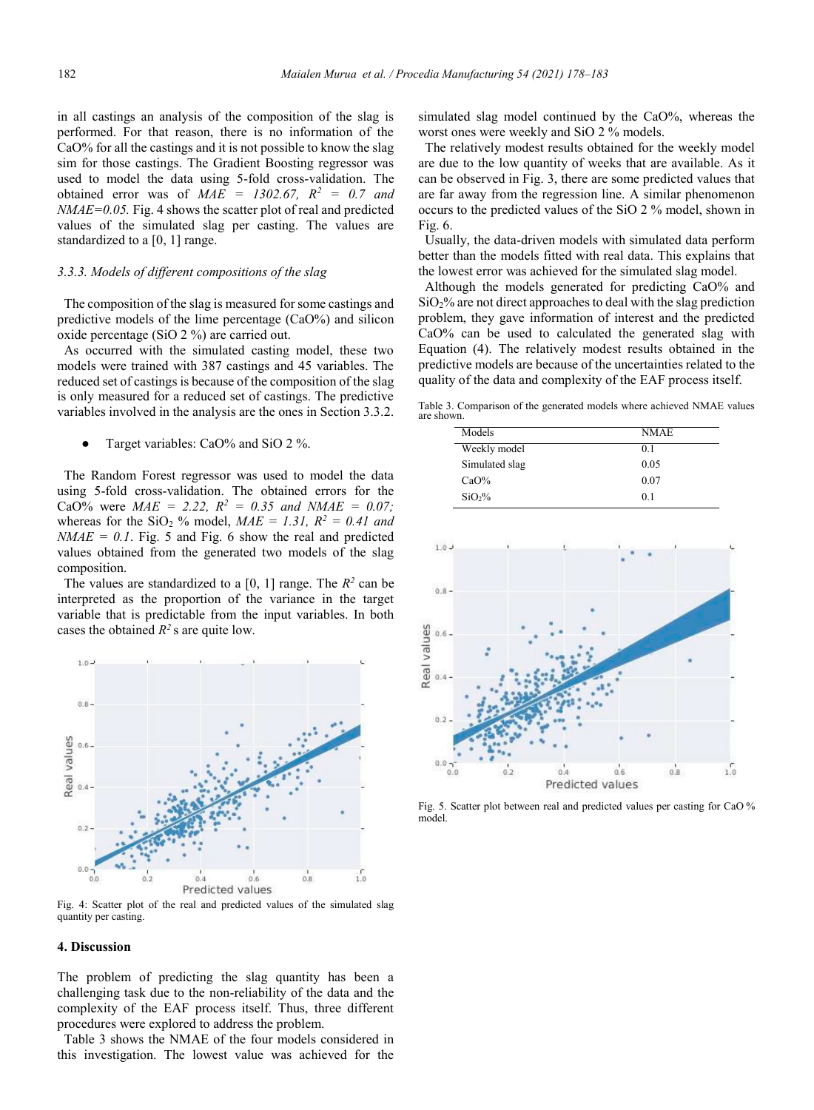in all castings an analysis of the composition of the slag is performed. For that reason, there is no information of the CaO% for all the castings and it is not possible to know the slag sim for those castings. The Gradient Boosting regressor was used to model the data using 5-fold cross-validation. The obtained error was of  $MAE = 1302.67$ ,  $R^2 = 0.7$  and *NMAE=0.05.* Fig. 4 shows the scatter plot of real and predicted values of the simulated slag per casting. The values are standardized to a [0, 1] range.

### *3.3.3. Models of different compositions of the slag*

 The composition of the slag is measured for some castings and predictive models of the lime percentage (CaO%) and silicon oxide percentage (SiO 2 %) are carried out.

 As occurred with the simulated casting model, these two models were trained with 387 castings and 45 variables. The reduced set of castings is because of the composition of the slag is only measured for a reduced set of castings. The predictive variables involved in the analysis are the ones in Section 3.3.2.

Target variables: CaO% and SiO 2 %.

 The Random Forest regressor was used to model the data using 5-fold cross-validation. The obtained errors for the CaO% were  $MAE = 2.22$ ,  $R^2 = 0.35$  and  $NMAE = 0.07$ ; whereas for the SiO<sub>2</sub> % model,  $MAE = 1.31$ ,  $R^2 = 0.41$  and  $NMAE = 0.1$ . Fig. 5 and Fig. 6 show the real and predicted values obtained from the generated two models of the slag composition.

The values are standardized to a  $[0, 1]$  range. The  $R^2$  can be interpreted as the proportion of the variance in the target variable that is predictable from the input variables. In both cases the obtained  $R^2$  s are quite low.



Fig. 4: Scatter plot of the real and predicted values of the simulated slag quantity per casting.

#### **4. Discussion**

The problem of predicting the slag quantity has been a challenging task due to the non-reliability of the data and the complexity of the EAF process itself. Thus, three different procedures were explored to address the problem.

 Table 3 shows the NMAE of the four models considered in this investigation. The lowest value was achieved for the simulated slag model continued by the CaO%, whereas the worst ones were weekly and SiO 2 % models.

 The relatively modest results obtained for the weekly model are due to the low quantity of weeks that are available. As it can be observed in Fig. 3, there are some predicted values that are far away from the regression line. A similar phenomenon occurs to the predicted values of the SiO 2 % model, shown in Fig. 6.

 Usually, the data-driven models with simulated data perform better than the models fitted with real data. This explains that the lowest error was achieved for the simulated slag model.

 Although the models generated for predicting CaO% and  $SiO<sub>2</sub>$ % are not direct approaches to deal with the slag prediction problem, they gave information of interest and the predicted CaO% can be used to calculated the generated slag with Equation (4). The relatively modest results obtained in the predictive models are because of the uncertainties related to the quality of the data and complexity of the EAF process itself.

Table 3. Comparison of the generated models where achieved NMAE values are shown.

| Models         | NMAE.          |
|----------------|----------------|
| Weekly model   | 0.1            |
| Simulated slag | 0.05           |
| $CaO\%$        | 0.07           |
| $SiO2$ %       | 0 <sub>1</sub> |



Fig. 5. Scatter plot between real and predicted values per casting for CaO % model.